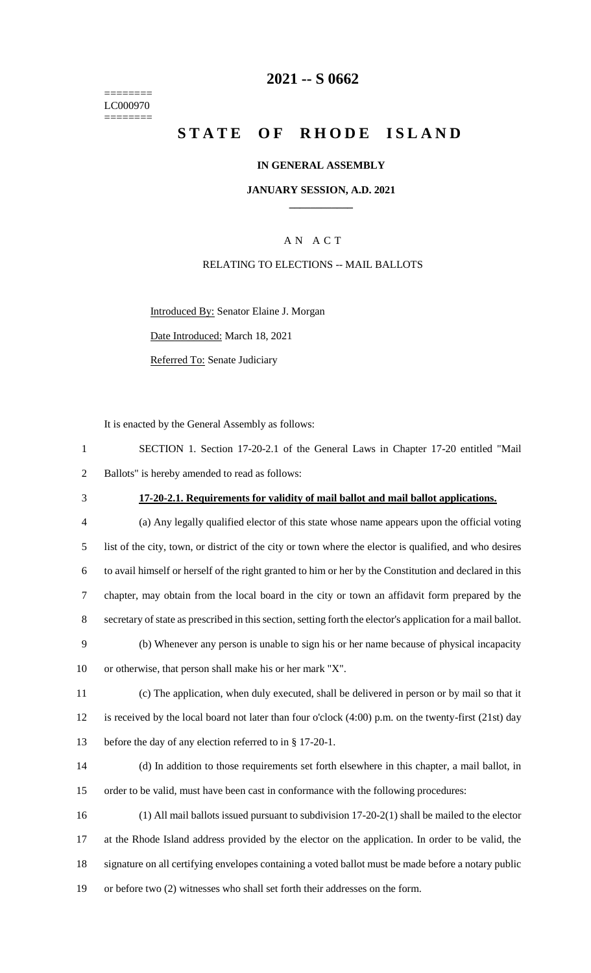======== LC000970 ========

# **-- S 0662**

# **STATE OF RHODE ISLAND**

### **IN GENERAL ASSEMBLY**

### **JANUARY SESSION, A.D. 2021 \_\_\_\_\_\_\_\_\_\_\_\_**

## A N A C T

### RELATING TO ELECTIONS -- MAIL BALLOTS

Introduced By: Senator Elaine J. Morgan

Date Introduced: March 18, 2021

Referred To: Senate Judiciary

It is enacted by the General Assembly as follows:

| SECTION 1. Section 17-20-2.1 of the General Laws in Chapter 17-20 entitled "Mail |  |  |  |  |  |  |
|----------------------------------------------------------------------------------|--|--|--|--|--|--|
| Ballots" is hereby amended to read as follows:                                   |  |  |  |  |  |  |

# **17-20-2.1. Requirements for validity of mail ballot and mail ballot applications.**

 (a) Any legally qualified elector of this state whose name appears upon the official voting list of the city, town, or district of the city or town where the elector is qualified, and who desires to avail himself or herself of the right granted to him or her by the Constitution and declared in this chapter, may obtain from the local board in the city or town an affidavit form prepared by the secretary of state as prescribed in this section, setting forth the elector's application for a mail ballot.

 (b) Whenever any person is unable to sign his or her name because of physical incapacity or otherwise, that person shall make his or her mark "X".

 (c) The application, when duly executed, shall be delivered in person or by mail so that it is received by the local board not later than four o'clock (4:00) p.m. on the twenty-first (21st) day before the day of any election referred to in § 17-20-1.

 (d) In addition to those requirements set forth elsewhere in this chapter, a mail ballot, in order to be valid, must have been cast in conformance with the following procedures:

 (1) All mail ballots issued pursuant to subdivision 17-20-2(1) shall be mailed to the elector at the Rhode Island address provided by the elector on the application. In order to be valid, the signature on all certifying envelopes containing a voted ballot must be made before a notary public or before two (2) witnesses who shall set forth their addresses on the form.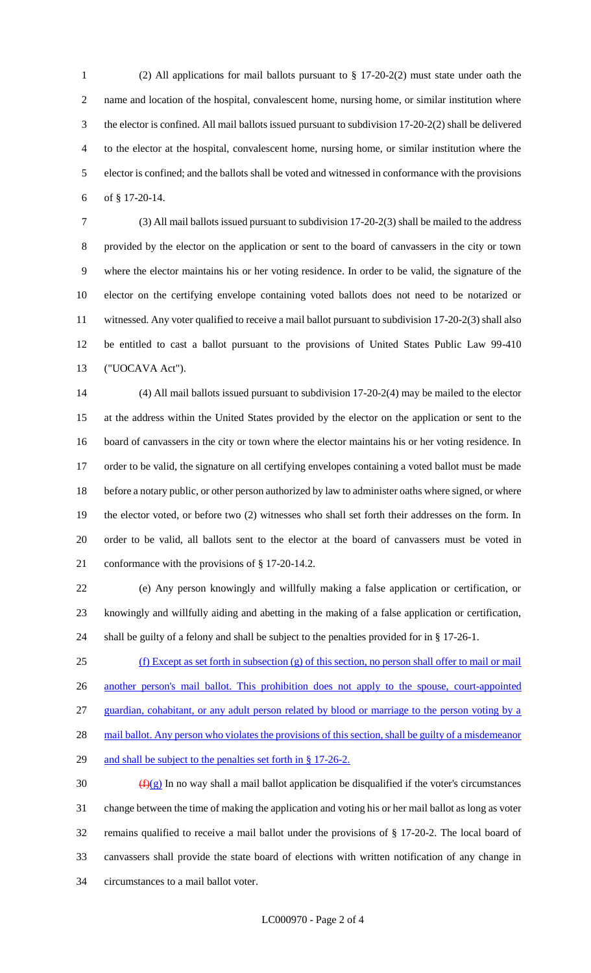(2) All applications for mail ballots pursuant to § 17-20-2(2) must state under oath the name and location of the hospital, convalescent home, nursing home, or similar institution where the elector is confined. All mail ballots issued pursuant to subdivision 17-20-2(2) shall be delivered to the elector at the hospital, convalescent home, nursing home, or similar institution where the elector is confined; and the ballots shall be voted and witnessed in conformance with the provisions of § 17-20-14.

 (3) All mail ballots issued pursuant to subdivision 17-20-2(3) shall be mailed to the address provided by the elector on the application or sent to the board of canvassers in the city or town where the elector maintains his or her voting residence. In order to be valid, the signature of the elector on the certifying envelope containing voted ballots does not need to be notarized or witnessed. Any voter qualified to receive a mail ballot pursuant to subdivision 17-20-2(3) shall also be entitled to cast a ballot pursuant to the provisions of United States Public Law 99-410 ("UOCAVA Act").

 (4) All mail ballots issued pursuant to subdivision 17-20-2(4) may be mailed to the elector at the address within the United States provided by the elector on the application or sent to the board of canvassers in the city or town where the elector maintains his or her voting residence. In order to be valid, the signature on all certifying envelopes containing a voted ballot must be made before a notary public, or other person authorized by law to administer oaths where signed, or where the elector voted, or before two (2) witnesses who shall set forth their addresses on the form. In order to be valid, all ballots sent to the elector at the board of canvassers must be voted in conformance with the provisions of § 17-20-14.2.

 (e) Any person knowingly and willfully making a false application or certification, or knowingly and willfully aiding and abetting in the making of a false application or certification, shall be guilty of a felony and shall be subject to the penalties provided for in § 17-26-1.

 (f) Except as set forth in subsection (g) of this section, no person shall offer to mail or mail another person's mail ballot. This prohibition does not apply to the spouse, court-appointed guardian, cohabitant, or any adult person related by blood or marriage to the person voting by a 28 mail ballot. Any person who violates the provisions of this section, shall be guilty of a misdemeanor 29 and shall be subject to the penalties set forth in § 17-26-2.

 $(f)(g)$  In no way shall a mail ballot application be disqualified if the voter's circumstances change between the time of making the application and voting his or her mail ballot as long as voter remains qualified to receive a mail ballot under the provisions of § 17-20-2. The local board of canvassers shall provide the state board of elections with written notification of any change in circumstances to a mail ballot voter.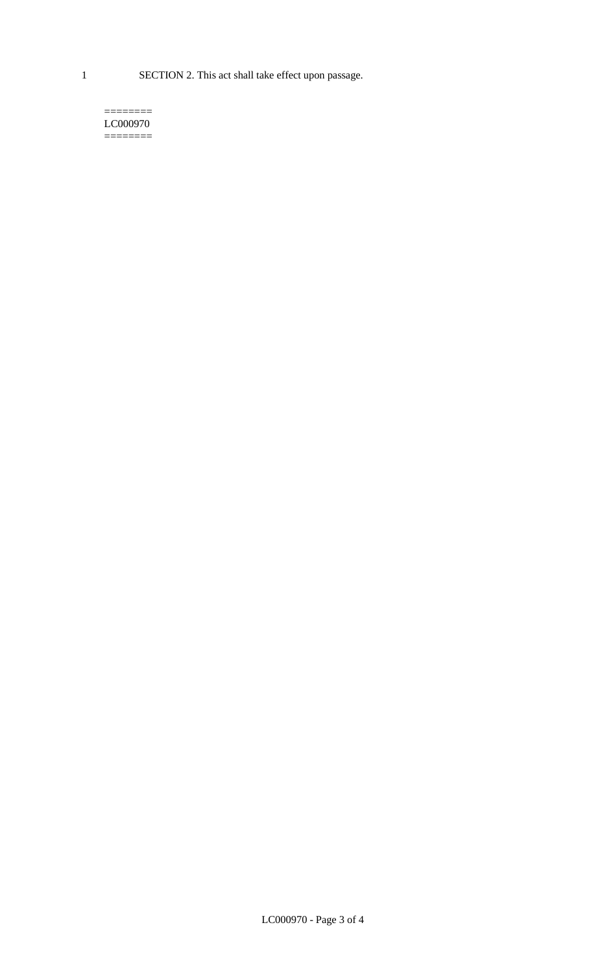1 SECTION 2. This act shall take effect upon passage.

#### $=$ LC000970  $=$

LC000970 - Page 3 of 4